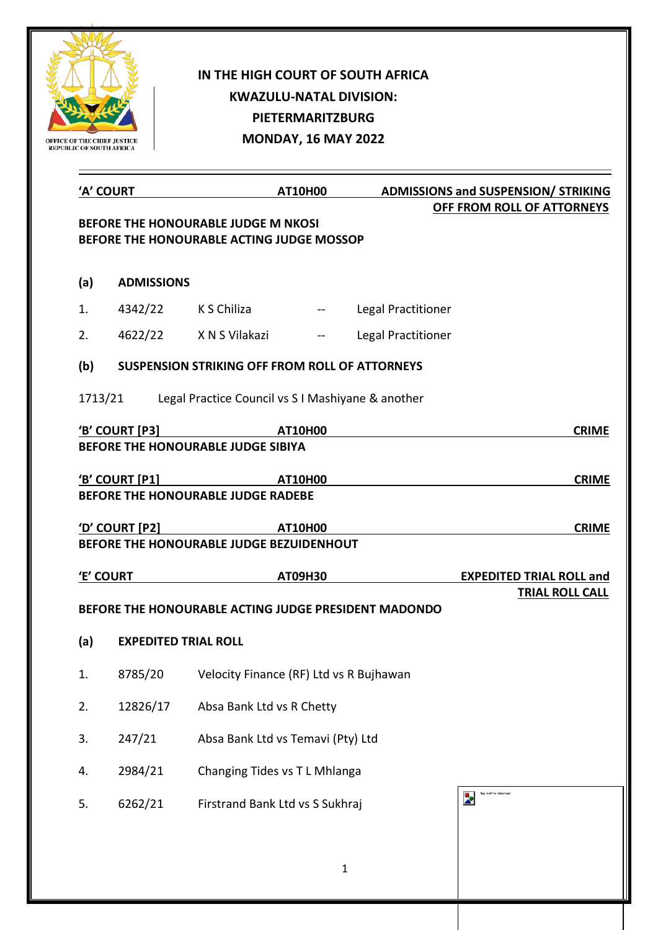

## **IN THE HIGH COURT OF SOUTH AFRICA KWAZULU-NATAL DIVISION: PIETERMARITZBURG MONDAY, 16 MAY 2022**

| 'A' COURT            |                             |                                                                           | <b>AT10H00</b>       |                                                  | <b>ADMISSIONS and SUSPENSION/ STRIKING</b> | <b>OFF FROM ROLL OF ATTORNEYS</b>               |
|----------------------|-----------------------------|---------------------------------------------------------------------------|----------------------|--------------------------------------------------|--------------------------------------------|-------------------------------------------------|
|                      |                             | BEFORE THE HONOURABLE JUDGE M NKOSI                                       |                      |                                                  |                                            |                                                 |
|                      |                             | BEFORE THE HONOURABLE ACTING JUDGE MOSSOP                                 |                      |                                                  |                                            |                                                 |
| (a)                  | <b>ADMISSIONS</b>           |                                                                           |                      |                                                  |                                            |                                                 |
| 1.                   |                             | 4342/22 K S Chiliza                                                       |                      | <b>Example 21 Transferred Legal Practitioner</b> |                                            |                                                 |
| 2.                   |                             | 4622/22 X N S Vilakazi                                                    | and the state of the | <b>Legal Practitioner</b>                        |                                            |                                                 |
| (b)                  |                             | <b>SUSPENSION STRIKING OFF FROM ROLL OF ATTORNEYS</b>                     |                      |                                                  |                                            |                                                 |
|                      |                             | 1713/21 Legal Practice Council vs S I Mashiyane & another                 |                      |                                                  |                                            |                                                 |
|                      |                             | <u>'B' COURT [P3]</u> AT10H00                                             |                      |                                                  |                                            | <b>CRIME</b>                                    |
|                      |                             | BEFORE THE HONOURABLE JUDGE SIBIYA                                        |                      |                                                  |                                            |                                                 |
|                      |                             | 'B' COURT [P1] AT10H00                                                    |                      |                                                  |                                            | <b>CRIME</b>                                    |
|                      |                             |                                                                           |                      |                                                  |                                            |                                                 |
|                      |                             | <b>BEFORE THE HONOURABLE JUDGE RADEBE</b>                                 |                      |                                                  |                                            |                                                 |
|                      |                             | <u>'D' COURT [P2] AT10H00</u><br>BEFORE THE HONOURABLE JUDGE BEZUIDENHOUT |                      |                                                  |                                            |                                                 |
|                      | 'E' COURT                   |                                                                           | AT09H30              |                                                  |                                            | <b>CRIME</b><br><b>EXPEDITED TRIAL ROLL and</b> |
|                      |                             | BEFORE THE HONOURABLE ACTING JUDGE PRESIDENT MADONDO                      |                      |                                                  |                                            | <b>TRIAL ROLL CALL</b>                          |
| (a)                  | <b>EXPEDITED TRIAL ROLL</b> |                                                                           |                      |                                                  |                                            |                                                 |
| 1.                   | 8785/20                     | Velocity Finance (RF) Ltd vs R Bujhawan                                   |                      |                                                  |                                            |                                                 |
|                      | 12826/17                    | Absa Bank Ltd vs R Chetty                                                 |                      |                                                  |                                            |                                                 |
|                      | 247/21                      | Absa Bank Ltd vs Temavi (Pty) Ltd                                         |                      |                                                  |                                            |                                                 |
|                      | 2984/21                     | Changing Tides vs T L Mhlanga                                             |                      |                                                  |                                            |                                                 |
| 2.<br>3.<br>4.<br>5. | 6262/21                     | Firstrand Bank Ltd vs S Sukhraj                                           |                      |                                                  | flag motif for letterhear<br>$\mathbf{z}$  |                                                 |
|                      |                             |                                                                           |                      |                                                  |                                            |                                                 |
|                      |                             |                                                                           |                      | $\mathbf{1}$                                     |                                            |                                                 |